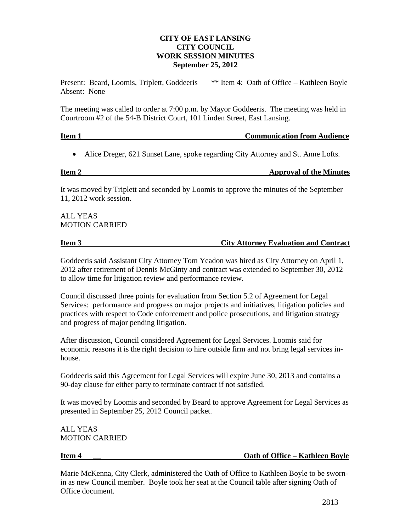## **CITY OF EAST LANSING CITY COUNCIL WORK SESSION MINUTES September 25, 2012**

Present: Beard, Loomis, Triplett, Goddeeris \*\* Item 4: Oath of Office – Kathleen Boyle Absent: None

The meeting was called to order at 7:00 p.m. by Mayor Goddeeris. The meeting was held in Courtroom #2 of the 54-B District Court, 101 Linden Street, East Lansing.

# **Item 1\_\_\_\_\_\_\_\_\_\_\_\_\_\_\_\_\_\_\_\_\_\_\_\_\_\_\_\_\_ Communication from Audience**

Alice Dreger, 621 Sunset Lane, spoke regarding City Attorney and St. Anne Lofts.

# **Item 2 \_\_\_\_\_\_\_\_\_\_\_\_\_\_\_\_\_\_\_\_ Approval of the Minutes**

It was moved by Triplett and seconded by Loomis to approve the minutes of the September 11, 2012 work session.

ALL YEAS MOTION CARRIED

## **Item 3** City Attorney Evaluation and Contract

Goddeeris said Assistant City Attorney Tom Yeadon was hired as City Attorney on April 1, 2012 after retirement of Dennis McGinty and contract was extended to September 30, 2012 to allow time for litigation review and performance review.

Council discussed three points for evaluation from Section 5.2 of Agreement for Legal Services: performance and progress on major projects and initiatives, litigation policies and practices with respect to Code enforcement and police prosecutions, and litigation strategy and progress of major pending litigation.

After discussion, Council considered Agreement for Legal Services. Loomis said for economic reasons it is the right decision to hire outside firm and not bring legal services inhouse.

Goddeeris said this Agreement for Legal Services will expire June 30, 2013 and contains a 90-day clause for either party to terminate contract if not satisfied.

It was moved by Loomis and seconded by Beard to approve Agreement for Legal Services as presented in September 25, 2012 Council packet.

ALL YEAS MOTION CARRIED

## **Item 4 1 1 1 Oath of Office – Kathleen Boyle**

Marie McKenna, City Clerk, administered the Oath of Office to Kathleen Boyle to be swornin as new Council member. Boyle took her seat at the Council table after signing Oath of Office document.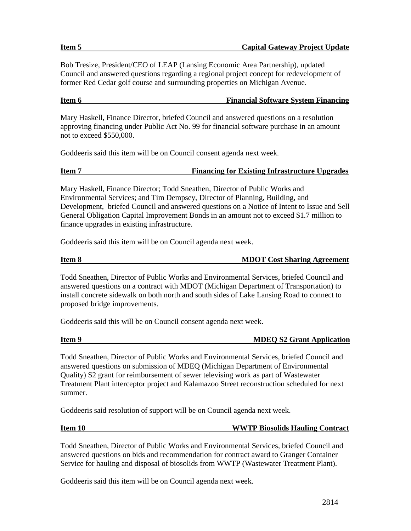Bob Tresize, President/CEO of LEAP (Lansing Economic Area Partnership), updated Council and answered questions regarding a regional project concept for redevelopment of former Red Cedar golf course and surrounding properties on Michigan Avenue.

### **Item 6 Financial Software System Financing**

Mary Haskell, Finance Director, briefed Council and answered questions on a resolution approving financing under Public Act No. 99 for financial software purchase in an amount not to exceed \$550,000.

Goddeeris said this item will be on Council consent agenda next week.

Mary Haskell, Finance Director; Todd Sneathen, Director of Public Works and Environmental Services; and Tim Dempsey, Director of Planning, Building, and Development, briefed Council and answered questions on a Notice of Intent to Issue and Sell General Obligation Capital Improvement Bonds in an amount not to exceed \$1.7 million to finance upgrades in existing infrastructure.

Goddeeris said this item will be on Council agenda next week.

| eπ<br>. . |  |
|-----------|--|
|-----------|--|

**MDOT Cost Sharing Agreement** 

Todd Sneathen, Director of Public Works and Environmental Services, briefed Council and answered questions on a contract with MDOT (Michigan Department of Transportation) to install concrete sidewalk on both north and south sides of Lake Lansing Road to connect to proposed bridge improvements.

Goddeeris said this will be on Council consent agenda next week.

| em<br>г |  |
|---------|--|
|         |  |

### **IMDEQ S2 Grant Application**

Todd Sneathen, Director of Public Works and Environmental Services, briefed Council and answered questions on submission of MDEQ (Michigan Department of Environmental Quality) S2 grant for reimbursement of sewer televising work as part of Wastewater Treatment Plant interceptor project and Kalamazoo Street reconstruction scheduled for next summer.

Goddeeris said resolution of support will be on Council agenda next week.

### **Item 10 WWTP Biosolids Hauling Contract**

Todd Sneathen, Director of Public Works and Environmental Services, briefed Council and answered questions on bids and recommendation for contract award to Granger Container Service for hauling and disposal of biosolids from WWTP (Wastewater Treatment Plant).

Goddeeris said this item will be on Council agenda next week.

### **Item 5 Capital Gateway Project Update**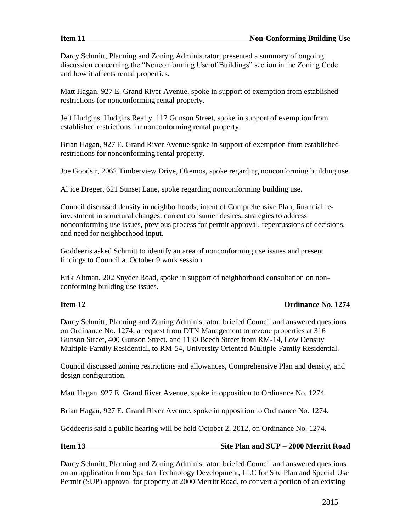Darcy Schmitt, Planning and Zoning Administrator, presented a summary of ongoing discussion concerning the "Nonconforming Use of Buildings" section in the Zoning Code and how it affects rental properties.

Matt Hagan, 927 E. Grand River Avenue, spoke in support of exemption from established restrictions for nonconforming rental property.

Jeff Hudgins, Hudgins Realty, 117 Gunson Street, spoke in support of exemption from established restrictions for nonconforming rental property.

Brian Hagan, 927 E. Grand River Avenue spoke in support of exemption from established restrictions for nonconforming rental property.

Joe Goodsir, 2062 Timberview Drive, Okemos, spoke regarding nonconforming building use.

Al ice Dreger, 621 Sunset Lane, spoke regarding nonconforming building use.

Council discussed density in neighborhoods, intent of Comprehensive Plan, financial reinvestment in structural changes, current consumer desires, strategies to address nonconforming use issues, previous process for permit approval, repercussions of decisions, and need for neighborhood input.

Goddeeris asked Schmitt to identify an area of nonconforming use issues and present findings to Council at October 9 work session.

Erik Altman, 202 Snyder Road, spoke in support of neighborhood consultation on nonconforming building use issues.

## **Item 12 Ordinance No. 1274**

Darcy Schmitt, Planning and Zoning Administrator, briefed Council and answered questions on Ordinance No. 1274; a request from DTN Management to rezone properties at 316 Gunson Street, 400 Gunson Street, and 1130 Beech Street from RM-14, Low Density Multiple-Family Residential, to RM-54, University Oriented Multiple-Family Residential.

Council discussed zoning restrictions and allowances, Comprehensive Plan and density, and design configuration.

Matt Hagan, 927 E. Grand River Avenue, spoke in opposition to Ordinance No. 1274.

Brian Hagan, 927 E. Grand River Avenue, spoke in opposition to Ordinance No. 1274.

Goddeeris said a public hearing will be held October 2, 2012, on Ordinance No. 1274.

## **Item 13 Site Plan and SUP – 2000 Merritt Road**

Darcy Schmitt, Planning and Zoning Administrator, briefed Council and answered questions on an application from Spartan Technology Development, LLC for Site Plan and Special Use Permit (SUP) approval for property at 2000 Merritt Road, to convert a portion of an existing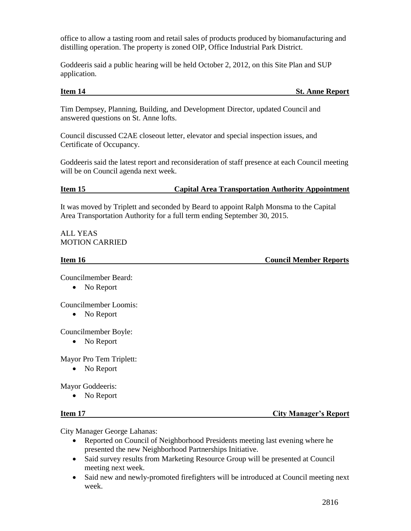office to allow a tasting room and retail sales of products produced by biomanufacturing and distilling operation. The property is zoned OIP, Office Industrial Park District.

Goddeeris said a public hearing will be held October 2, 2012, on this Site Plan and SUP application.

## **Item 14** St. Anne Report

Tim Dempsey, Planning, Building, and Development Director, updated Council and answered questions on St. Anne lofts.

Council discussed C2AE closeout letter, elevator and special inspection issues, and Certificate of Occupancy.

Goddeeris said the latest report and reconsideration of staff presence at each Council meeting will be on Council agenda next week.

## **Item 15 Capital Area Transportation Authority Appointment**

It was moved by Triplett and seconded by Beard to appoint Ralph Monsma to the Capital Area Transportation Authority for a full term ending September 30, 2015.

ALL YEAS MOTION CARRIED

**Item 16** Council Member Reports

Councilmember Beard:

• No Report

Councilmember Loomis:

• No Report

Councilmember Boyle:

• No Report

Mayor Pro Tem Triplett:

• No Report

Mayor Goddeeris:

• No Report

**Item 17 City Manager's Report** 

City Manager George Lahanas:

- Reported on Council of Neighborhood Presidents meeting last evening where he presented the new Neighborhood Partnerships Initiative.
- Said survey results from Marketing Resource Group will be presented at Council meeting next week.
- Said new and newly-promoted firefighters will be introduced at Council meeting next week.